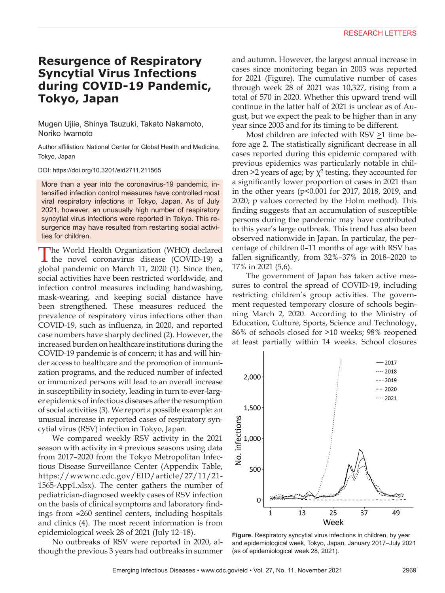## **Resurgence of Respiratory Syncytial Virus Infections during COVID-19 Pandemic, Tokyo, Japan**

Mugen Ujiie, Shinya Tsuzuki, Takato Nakamoto, Noriko Iwamoto

Author affiliation: National Center for Global Health and Medicine, Tokyo, Japan

DOI: https://doi.org/10.3201/eid2711.211565

More than a year into the coronavirus-19 pandemic, intensified infection control measures have controlled most viral respiratory infections in Tokyo, Japan. As of July 2021, however, an unusually high number of respiratory syncytial virus infections were reported in Tokyo. This resurgence may have resulted from restarting social activities for children.

The World Health Organization (WHO) declared the novel coronavirus disease (COVID-19) a global pandemic on March 11, 2020 (1). Since then, social activities have been restricted worldwide, and infection control measures including handwashing, mask-wearing, and keeping social distance have been strengthened. These measures reduced the prevalence of respiratory virus infections other than COVID-19, such as influenza, in 2020, and reported case numbers have sharply declined (2). However, the increased burden on healthcare institutions during the COVID-19 pandemic is of concern; it has and will hinder access to healthcare and the promotion of immunization programs, and the reduced number of infected or immunized persons will lead to an overall increase in susceptibility in society, leading in turn to ever-larger epidemics of infectious diseases after the resumption of social activities (3). We report a possible example: an unusual increase in reported cases of respiratory syncytial virus (RSV) infection in Tokyo, Japan.

We compared weekly RSV activity in the 2021 season with activity in 4 previous seasons using data from 2017–2020 from the Tokyo Metropolitan Infectious Disease Surveillance Center (Appendix Table, https://wwwnc.cdc.gov/EID/article/27/11/21- 1565-App1.xlsx). The center gathers the number of pediatrician-diagnosed weekly cases of RSV infection on the basis of clinical symptoms and laboratory findings from ≈260 sentinel centers, including hospitals and clinics (4). The most recent information is from epidemiological week 28 of 2021 (July 12–18).

No outbreaks of RSV were reported in 2020, although the previous 3 years had outbreaks in summer and autumn. However, the largest annual increase in cases since monitoring began in 2003 was reported for 2021 (Figure). The cumulative number of cases through week 28 of 2021 was 10,327, rising from a total of 570 in 2020. Whether this upward trend will continue in the latter half of 2021 is unclear as of August, but we expect the peak to be higher than in any year since 2003 and for its timing to be different.

Most children are infected with  $RSV \geq 1$  time before age 2. The statistically significant decrease in all cases reported during this epidemic compared with previous epidemics was particularly notable in children  $\geq$ 2 years of age; by  $\chi^2$  testing, they accounted for a significantly lower proportion of cases in 2021 than in the other years (p<0.001 for 2017, 2018, 2019, and 2020; p values corrected by the Holm method). This finding suggests that an accumulation of susceptible persons during the pandemic may have contributed to this year's large outbreak. This trend has also been observed nationwide in Japan. In particular, the percentage of children 0–11 months of age with RSV has fallen significantly, from 32%–37% in 2018–2020 to 17% in 2021 (5,6).

The government of Japan has taken active measures to control the spread of COVID-19, including restricting children's group activities. The government requested temporary closure of schools beginning March 2, 2020. According to the Ministry of Education, Culture, Sports, Science and Technology, 86% of schools closed for >10 weeks; 98% reopened at least partially within 14 weeks. School closures



**Figure.** Respiratory syncytial virus infections in children, by year and epidemiological week, Tokyo, Japan, January 2017–July 2021 (as of epidemiological week 28, 2021).